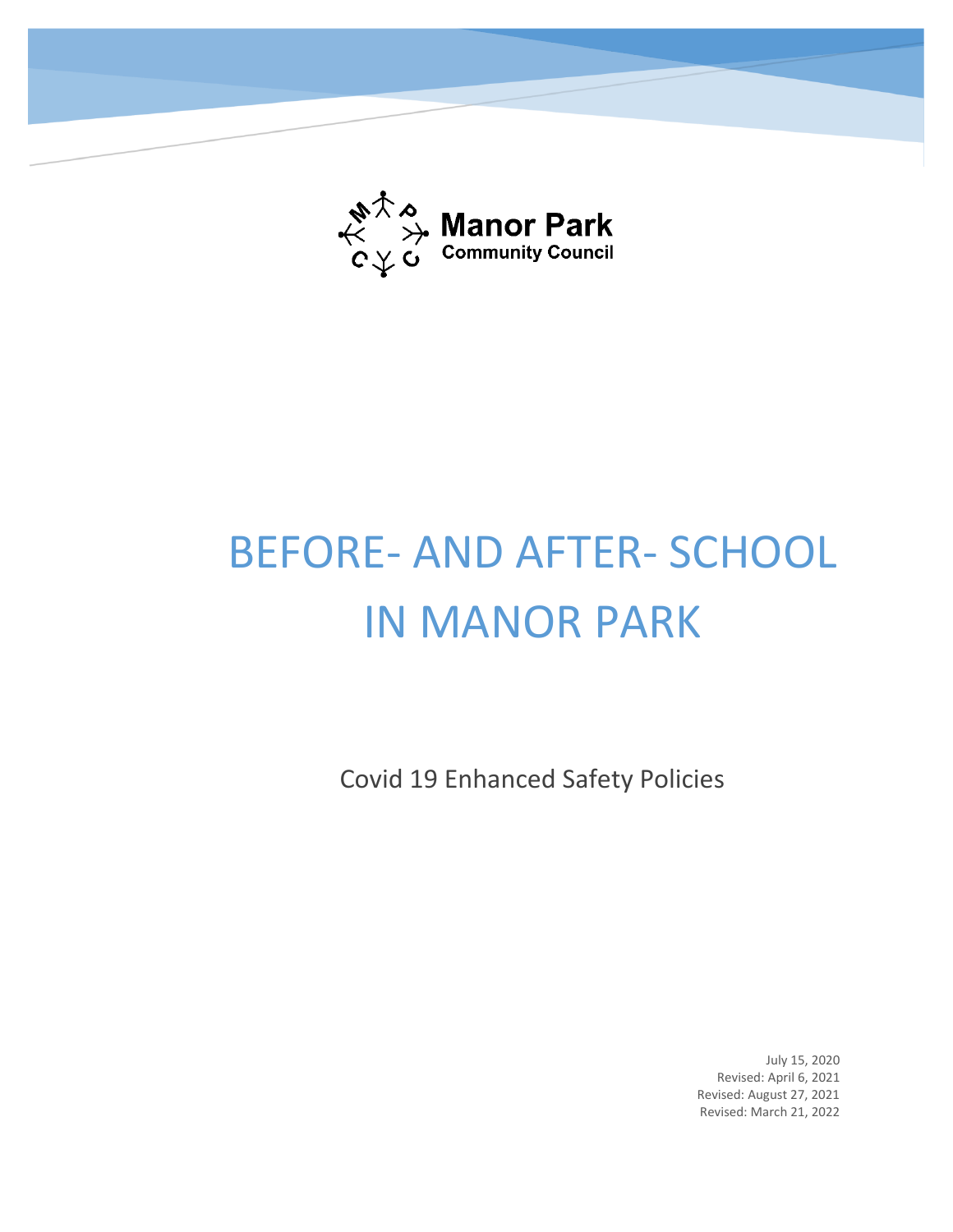

# BEFORE- AND AFTER- SCHOOL IN MANOR PARK

Covid 19 Enhanced Safety Policies

July 15, 2020 Revised: April 6, 2021 Revised: August 27, 2021 Revised: March 21, 2022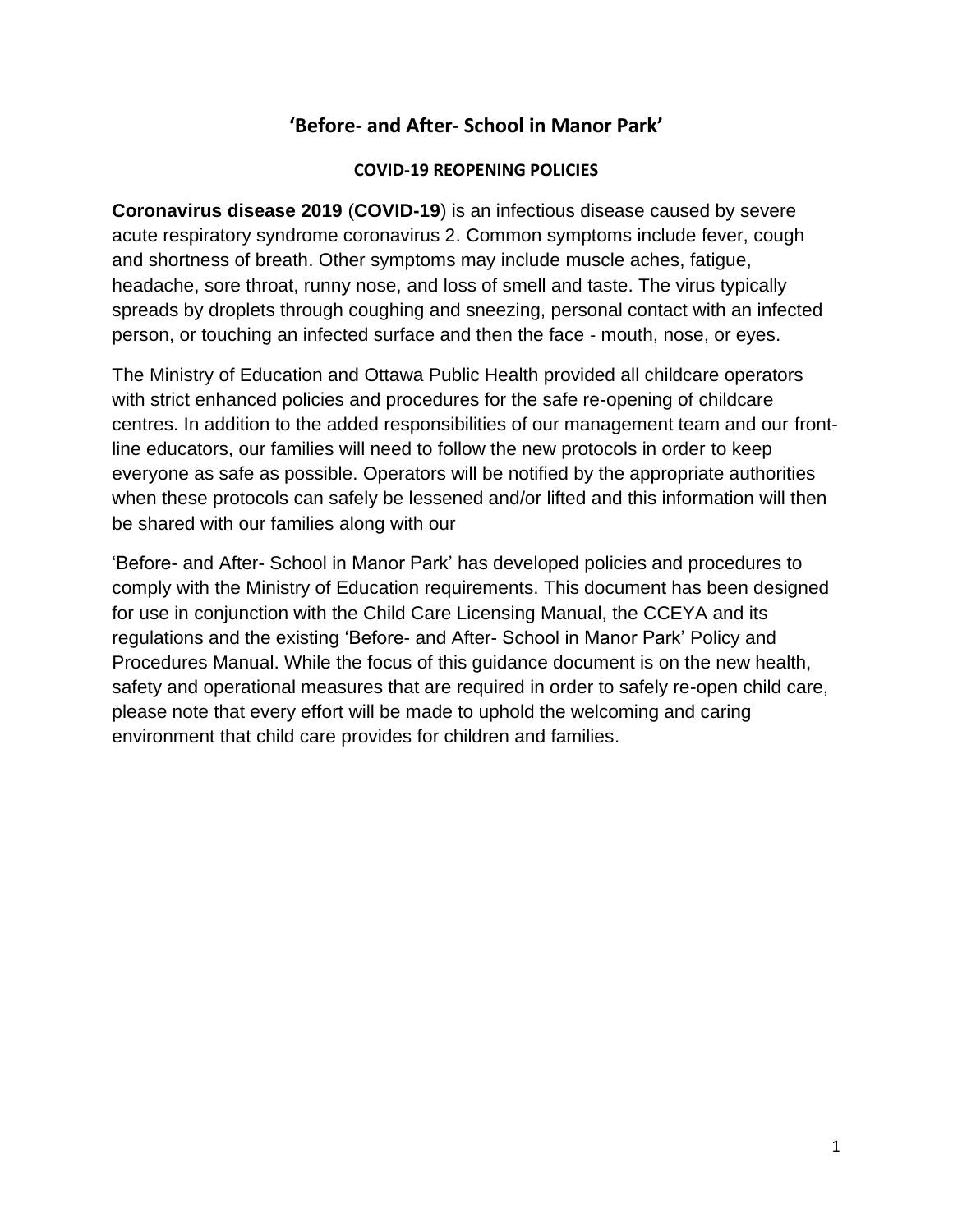# **'Before- and After- School in Manor Park'**

#### **COVID-19 REOPENING POLICIES**

**Coronavirus disease 2019** (**COVID-19**) is an [infectious disease](https://en.wikipedia.org/wiki/Infectious_disease) caused by [severe](https://en.wikipedia.org/wiki/Severe_acute_respiratory_syndrome_coronavirus_2)  [acute respiratory syndrome coronavirus 2.](https://en.wikipedia.org/wiki/Severe_acute_respiratory_syndrome_coronavirus_2) Common symptoms include [fever,](https://en.wikipedia.org/wiki/Fever) [cough](https://en.wikipedia.org/wiki/Cough) and [shortness of breath.](https://en.wikipedia.org/wiki/Shortness_of_breath) Other symptoms may include muscle aches, [fatigue,](https://en.wikipedia.org/wiki/Fatigue) headache, sore throat, runny nose, and [loss of smell](https://en.wikipedia.org/wiki/Anosmia) and [taste.](https://en.wikipedia.org/wiki/Ageusia) The virus typically spreads by droplets through coughing and sneezing, personal contact with an infected person, or touching an infected surface and then the face ‐ mouth, nose, or eyes.

The Ministry of Education and Ottawa Public Health provided all childcare operators with strict enhanced policies and procedures for the safe re-opening of childcare centres. In addition to the added responsibilities of our management team and our frontline educators, our families will need to follow the new protocols in order to keep everyone as safe as possible. Operators will be notified by the appropriate authorities when these protocols can safely be lessened and/or lifted and this information will then be shared with our families along with our

'Before- and After- School in Manor Park' has developed policies and procedures to comply with the Ministry of Education requirements. This document has been designed for use in conjunction with the Child Care Licensing Manual, the CCEYA and its regulations and the existing 'Before- and After- School in Manor Park' Policy and Procedures Manual. While the focus of this guidance document is on the new health, safety and operational measures that are required in order to safely re-open child care, please note that every effort will be made to uphold the welcoming and caring environment that child care provides for children and families.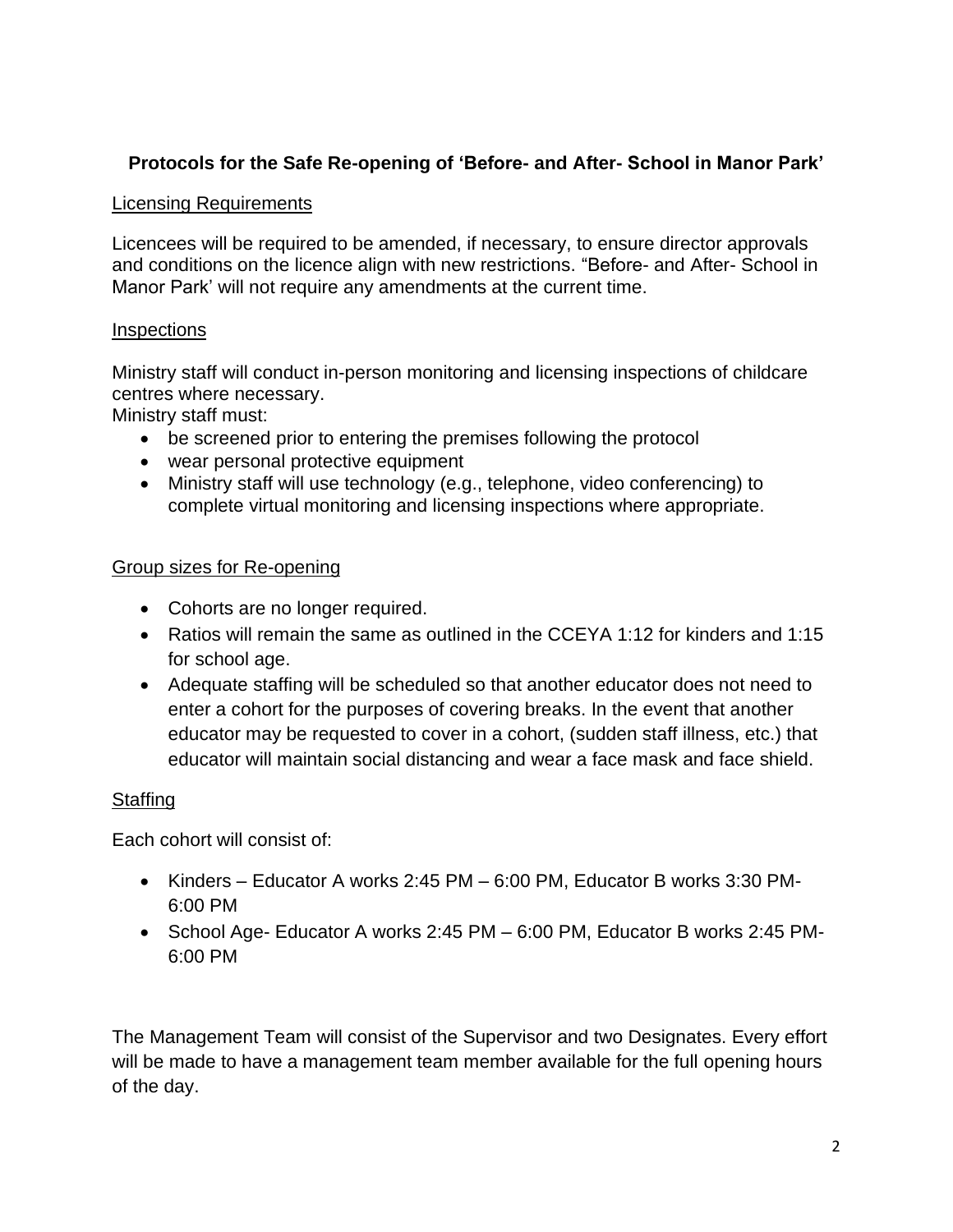# **Protocols for the Safe Re-opening of 'Before- and After- School in Manor Park'**

#### Licensing Requirements

Licencees will be required to be amended, if necessary, to ensure director approvals and conditions on the licence align with new restrictions. "Before- and After- School in Manor Park' will not require any amendments at the current time.

#### **Inspections**

Ministry staff will conduct in-person monitoring and licensing inspections of childcare centres where necessary.

Ministry staff must:

- be screened prior to entering the premises following the protocol
- wear personal protective equipment
- Ministry staff will use technology (e.g., telephone, video conferencing) to complete virtual monitoring and licensing inspections where appropriate.

#### Group sizes for Re-opening

- Cohorts are no longer required.
- Ratios will remain the same as outlined in the CCEYA 1:12 for kinders and 1:15 for school age.
- Adequate staffing will be scheduled so that another educator does not need to enter a cohort for the purposes of covering breaks. In the event that another educator may be requested to cover in a cohort, (sudden staff illness, etc.) that educator will maintain social distancing and wear a face mask and face shield.

# **Staffing**

Each cohort will consist of:

- Kinders Educator A works 2:45 PM 6:00 PM, Educator B works 3:30 PM-6:00 PM
- School Age- Educator A works 2:45 PM 6:00 PM, Educator B works 2:45 PM-6:00 PM

The Management Team will consist of the Supervisor and two Designates. Every effort will be made to have a management team member available for the full opening hours of the day.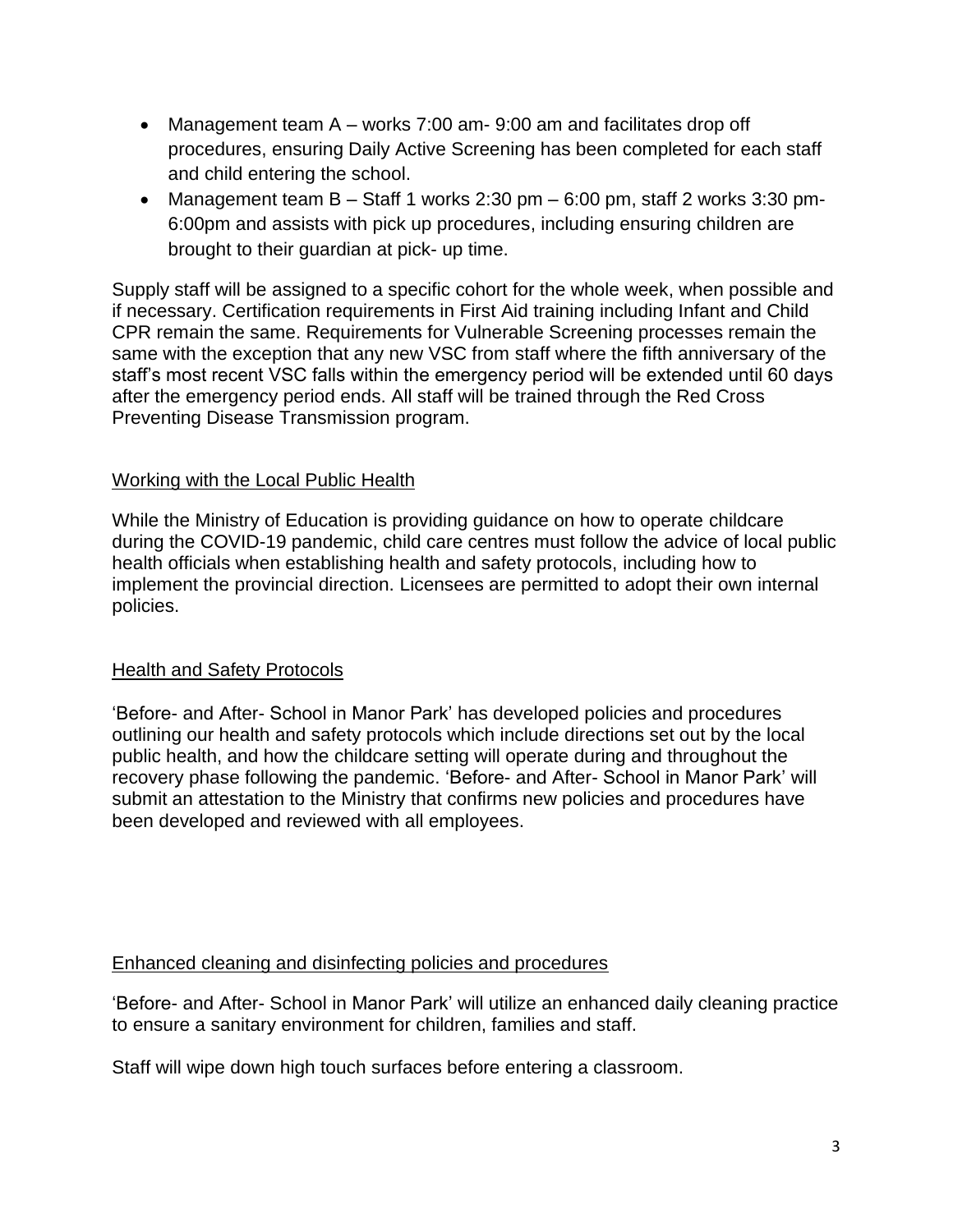- Management team A works 7:00 am- 9:00 am and facilitates drop off procedures, ensuring Daily Active Screening has been completed for each staff and child entering the school.
- Management team  $B -$  Staff 1 works 2:30 pm  $-6:00$  pm, staff 2 works 3:30 pm-6:00pm and assists with pick up procedures, including ensuring children are brought to their guardian at pick- up time.

Supply staff will be assigned to a specific cohort for the whole week, when possible and if necessary. Certification requirements in First Aid training including Infant and Child CPR remain the same. Requirements for Vulnerable Screening processes remain the same with the exception that any new VSC from staff where the fifth anniversary of the staff's most recent VSC falls within the emergency period will be extended until 60 days after the emergency period ends. All staff will be trained through the Red Cross Preventing Disease Transmission program.

#### Working with the Local Public Health

While the Ministry of Education is providing guidance on how to operate childcare during the COVID-19 pandemic, child care centres must follow the advice of local public health officials when establishing health and safety protocols, including how to implement the provincial direction. Licensees are permitted to adopt their own internal policies.

#### Health and Safety Protocols

'Before- and After- School in Manor Park' has developed policies and procedures outlining our health and safety protocols which include directions set out by the local public health, and how the childcare setting will operate during and throughout the recovery phase following the pandemic. 'Before- and After- School in Manor Park' will submit an attestation to the Ministry that confirms new policies and procedures have been developed and reviewed with all employees.

#### Enhanced cleaning and disinfecting policies and procedures

'Before- and After- School in Manor Park' will utilize an enhanced daily cleaning practice to ensure a sanitary environment for children, families and staff.

Staff will wipe down high touch surfaces before entering a classroom.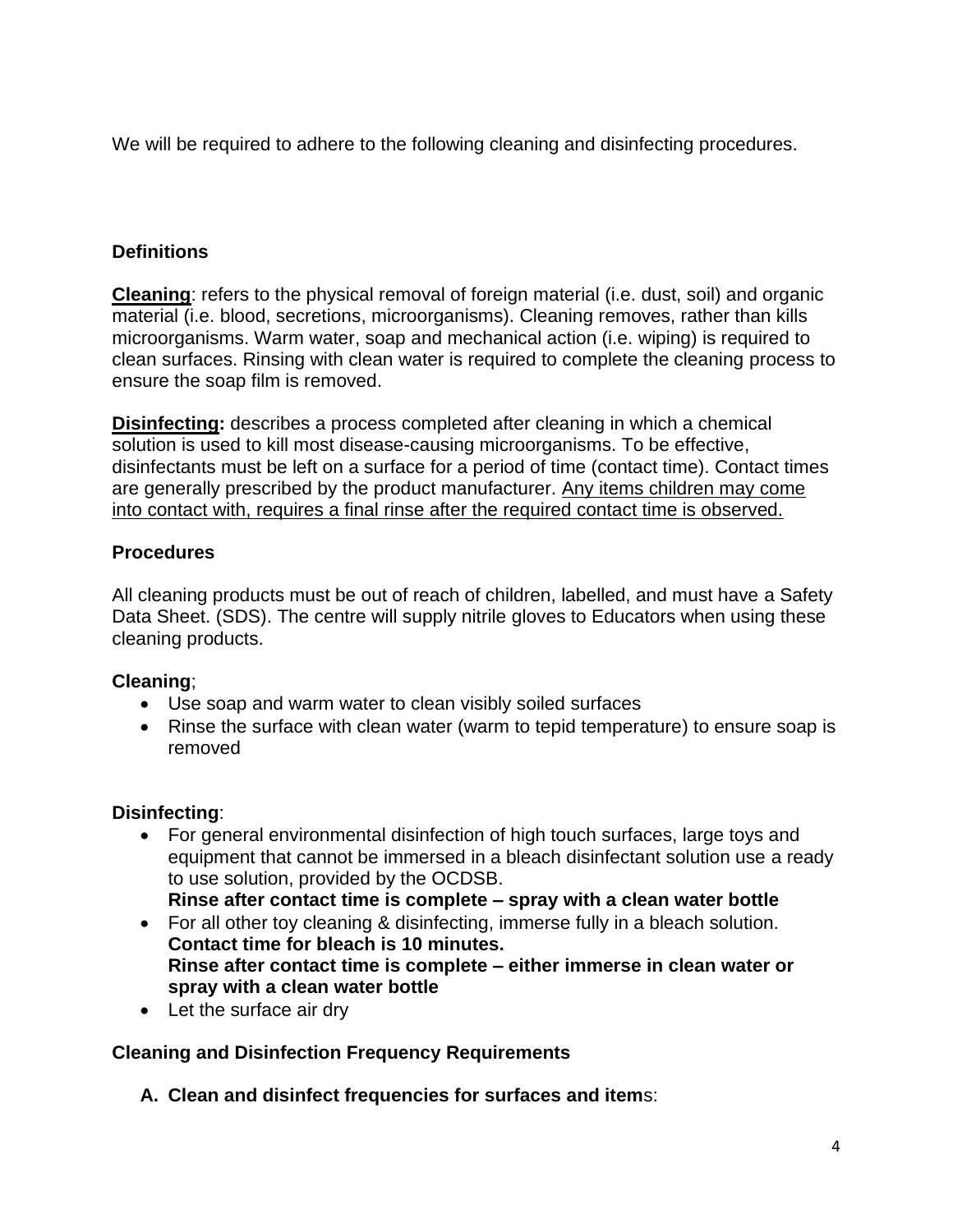We will be required to adhere to the following cleaning and disinfecting procedures.

# **Definitions**

**Cleaning**: refers to the physical removal of foreign material (i.e. dust, soil) and organic material (i.e. blood, secretions, microorganisms). Cleaning removes, rather than kills microorganisms. Warm water, soap and mechanical action (i.e. wiping) is required to clean surfaces. Rinsing with clean water is required to complete the cleaning process to ensure the soap film is removed.

**Disinfecting:** describes a process completed after cleaning in which a chemical solution is used to kill most disease-causing microorganisms. To be effective, disinfectants must be left on a surface for a period of time (contact time). Contact times are generally prescribed by the product manufacturer. Any items children may come into contact with, requires a final rinse after the required contact time is observed.

# **Procedures**

All cleaning products must be out of reach of children, labelled, and must have a Safety Data Sheet. (SDS). The centre will supply nitrile gloves to Educators when using these cleaning products.

# **Cleaning**;

- Use soap and warm water to clean visibly soiled surfaces
- Rinse the surface with clean water (warm to tepid temperature) to ensure soap is removed

# **Disinfecting**:

• For general environmental disinfection of high touch surfaces, large toys and equipment that cannot be immersed in a bleach disinfectant solution use a ready to use solution, provided by the OCDSB.

**Rinse after contact time is complete – spray with a clean water bottle** 

- For all other toy cleaning & disinfecting, immerse fully in a bleach solution. **Contact time for bleach is 10 minutes. Rinse after contact time is complete – either immerse in clean water or spray with a clean water bottle**
- Let the surface air dry

# **Cleaning and Disinfection Frequency Requirements**

**A. Clean and disinfect frequencies for surfaces and item**s: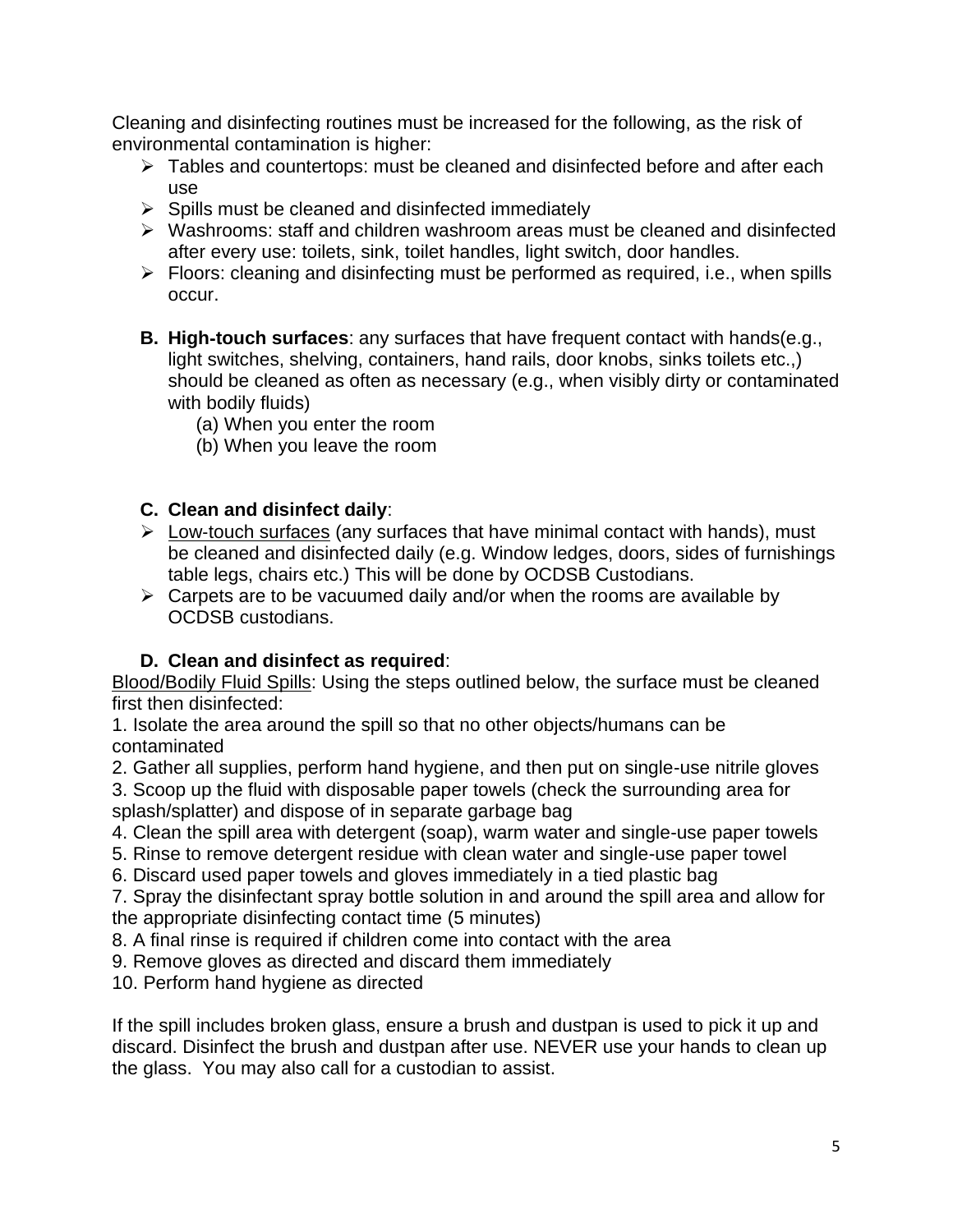Cleaning and disinfecting routines must be increased for the following, as the risk of environmental contamination is higher:

- ➢ Tables and countertops: must be cleaned and disinfected before and after each use
- $\triangleright$  Spills must be cleaned and disinfected immediately
- ➢ Washrooms: staff and children washroom areas must be cleaned and disinfected after every use: toilets, sink, toilet handles, light switch, door handles.
- $\triangleright$  Floors: cleaning and disinfecting must be performed as required, i.e., when spills occur.
- **B. High**‐**touch surfaces**: any surfaces that have frequent contact with hands(e.g., light switches, shelving, containers, hand rails, door knobs, sinks toilets etc.,) should be cleaned as often as necessary (e.g., when visibly dirty or contaminated with bodily fluids)
	- (a) When you enter the room
	- (b) When you leave the room

# **C. Clean and disinfect daily**:

- ➢ Low‐touch surfaces (any surfaces that have minimal contact with hands), must be cleaned and disinfected daily (e.g. Window ledges, doors, sides of furnishings table legs, chairs etc.) This will be done by OCDSB Custodians.
- $\triangleright$  Carpets are to be vacuumed daily and/or when the rooms are available by OCDSB custodians.

# **D. Clean and disinfect as required**:

Blood/Bodily Fluid Spills: Using the steps outlined below, the surface must be cleaned first then disinfected:

1. Isolate the area around the spill so that no other objects/humans can be contaminated

2. Gather all supplies, perform hand hygiene, and then put on single-use nitrile gloves

3. Scoop up the fluid with disposable paper towels (check the surrounding area for splash/splatter) and dispose of in separate garbage bag

- 4. Clean the spill area with detergent (soap), warm water and single-use paper towels
- 5. Rinse to remove detergent residue with clean water and single-use paper towel
- 6. Discard used paper towels and gloves immediately in a tied plastic bag
- 7. Spray the disinfectant spray bottle solution in and around the spill area and allow for the appropriate disinfecting contact time (5 minutes)
- 8. A final rinse is required if children come into contact with the area
- 9. Remove gloves as directed and discard them immediately
- 10. Perform hand hygiene as directed

If the spill includes broken glass, ensure a brush and dustpan is used to pick it up and discard. Disinfect the brush and dustpan after use. NEVER use your hands to clean up the glass. You may also call for a custodian to assist.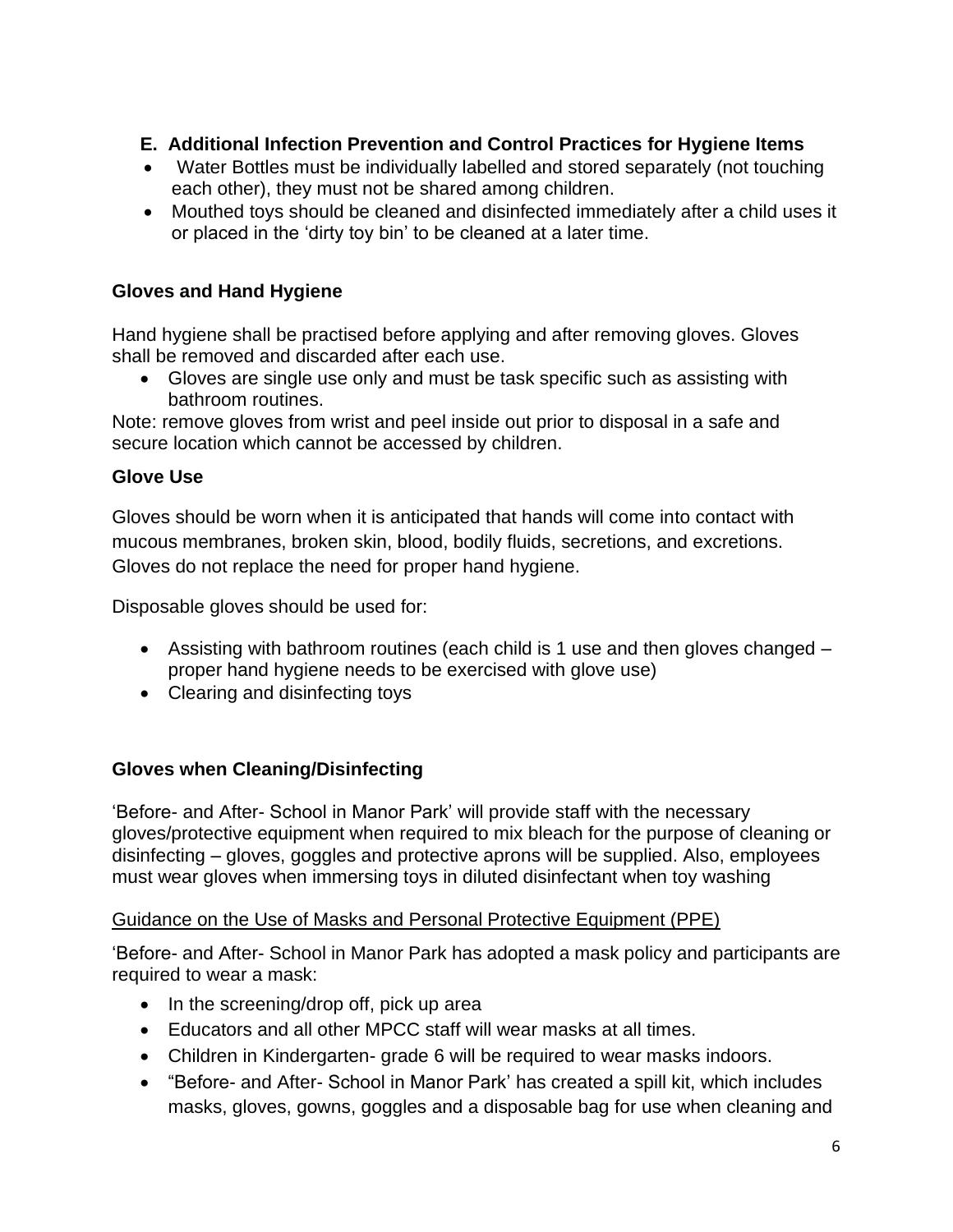# **E. Additional Infection Prevention and Control Practices for Hygiene Items**

- Water Bottles must be individually labelled and stored separately (not touching each other), they must not be shared among children.
- Mouthed toys should be cleaned and disinfected immediately after a child uses it or placed in the 'dirty toy bin' to be cleaned at a later time.

# **Gloves and Hand Hygiene**

Hand hygiene shall be practised before applying and after removing gloves. Gloves shall be removed and discarded after each use.

• Gloves are single use only and must be task specific such as assisting with bathroom routines.

Note: remove gloves from wrist and peel inside out prior to disposal in a safe and secure location which cannot be accessed by children.

# **Glove Use**

Gloves should be worn when it is anticipated that hands will come into contact with mucous membranes, broken skin, blood, bodily fluids, secretions, and excretions. Gloves do not replace the need for proper hand hygiene.

Disposable gloves should be used for:

- Assisting with bathroom routines (each child is 1 use and then gloves changed proper hand hygiene needs to be exercised with glove use)
- Clearing and disinfecting toys

# **Gloves when Cleaning/Disinfecting**

'Before- and After- School in Manor Park' will provide staff with the necessary gloves/protective equipment when required to mix bleach for the purpose of cleaning or disinfecting – gloves, goggles and protective aprons will be supplied. Also, employees must wear gloves when immersing toys in diluted disinfectant when toy washing

# Guidance on the Use of Masks and Personal Protective Equipment (PPE)

'Before- and After- School in Manor Park has adopted a mask policy and participants are required to wear a mask:

- In the screening/drop off, pick up area
- Educators and all other MPCC staff will wear masks at all times.
- Children in Kindergarten- grade 6 will be required to wear masks indoors.
- "Before- and After- School in Manor Park' has created a spill kit, which includes masks, gloves, gowns, goggles and a disposable bag for use when cleaning and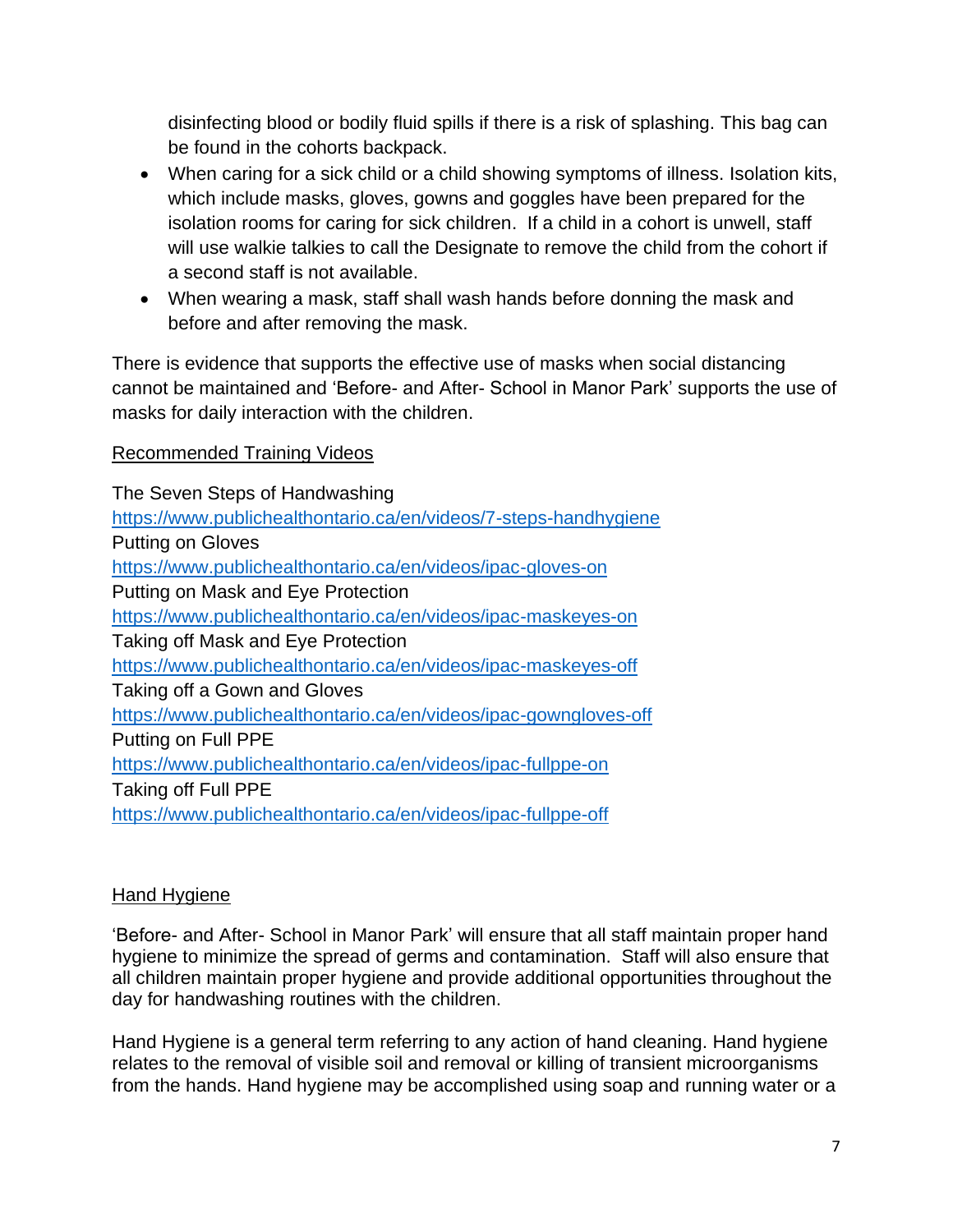disinfecting blood or bodily fluid spills if there is a risk of splashing. This bag can be found in the cohorts backpack.

- When caring for a sick child or a child showing symptoms of illness. Isolation kits, which include masks, gloves, gowns and goggles have been prepared for the isolation rooms for caring for sick children. If a child in a cohort is unwell, staff will use walkie talkies to call the Designate to remove the child from the cohort if a second staff is not available.
- When wearing a mask, staff shall wash hands before donning the mask and before and after removing the mask.

There is evidence that supports the effective use of masks when social distancing cannot be maintained and 'Before- and After- School in Manor Park' supports the use of masks for daily interaction with the children.

#### Recommended Training Videos

The Seven Steps of Handwashing <https://www.publichealthontario.ca/en/videos/7-steps-handhygiene> Putting on Gloves <https://www.publichealthontario.ca/en/videos/ipac-gloves-on> Putting on Mask and Eye Protection <https://www.publichealthontario.ca/en/videos/ipac-maskeyes-on> Taking off Mask and Eye Protection <https://www.publichealthontario.ca/en/videos/ipac-maskeyes-off> Taking off a Gown and Gloves <https://www.publichealthontario.ca/en/videos/ipac-gowngloves-off> Putting on Full PPE <https://www.publichealthontario.ca/en/videos/ipac-fullppe-on> Taking off Full PPE <https://www.publichealthontario.ca/en/videos/ipac-fullppe-off>

# Hand Hygiene

'Before- and After- School in Manor Park' will ensure that all staff maintain proper hand hygiene to minimize the spread of germs and contamination. Staff will also ensure that all children maintain proper hygiene and provide additional opportunities throughout the day for handwashing routines with the children.

Hand Hygiene is a general term referring to any action of hand cleaning. Hand hygiene relates to the removal of visible soil and removal or killing of transient microorganisms from the hands. Hand hygiene may be accomplished using soap and running water or a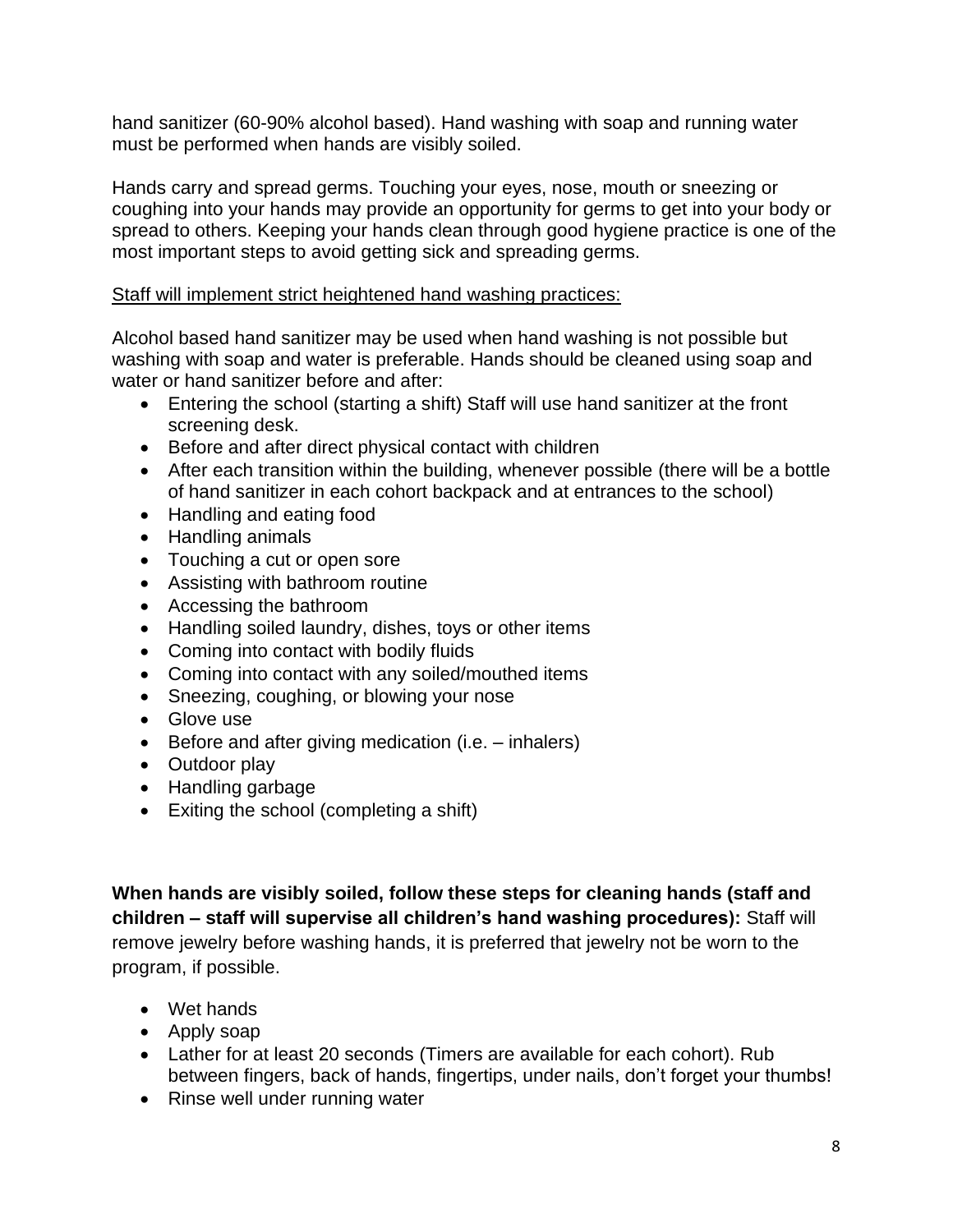hand sanitizer (60-90% alcohol based). Hand washing with soap and running water must be performed when hands are visibly soiled.

Hands carry and spread germs. Touching your eyes, nose, mouth or sneezing or coughing into your hands may provide an opportunity for germs to get into your body or spread to others. Keeping your hands clean through good hygiene practice is one of the most important steps to avoid getting sick and spreading germs.

### Staff will implement strict heightened hand washing practices:

Alcohol based hand sanitizer may be used when hand washing is not possible but washing with soap and water is preferable. Hands should be cleaned using soap and water or hand sanitizer before and after:

- Entering the school (starting a shift) Staff will use hand sanitizer at the front screening desk.
- Before and after direct physical contact with children
- After each transition within the building, whenever possible (there will be a bottle of hand sanitizer in each cohort backpack and at entrances to the school)
- Handling and eating food
- Handling animals
- Touching a cut or open sore
- Assisting with bathroom routine
- Accessing the bathroom
- Handling soiled laundry, dishes, toys or other items
- Coming into contact with bodily fluids
- Coming into contact with any soiled/mouthed items
- Sneezing, coughing, or blowing your nose
- Glove use
- Before and after giving medication (i.e. inhalers)
- Outdoor play
- Handling garbage
- Exiting the school (completing a shift)

**When hands are visibly soiled, follow these steps for cleaning hands (staff and children – staff will supervise all children's hand washing procedures):** Staff will remove jewelry before washing hands, it is preferred that jewelry not be worn to the program, if possible.

- Wet hands
- Apply soap
- Lather for at least 20 seconds (Timers are available for each cohort). Rub between fingers, back of hands, fingertips, under nails, don't forget your thumbs!
- Rinse well under running water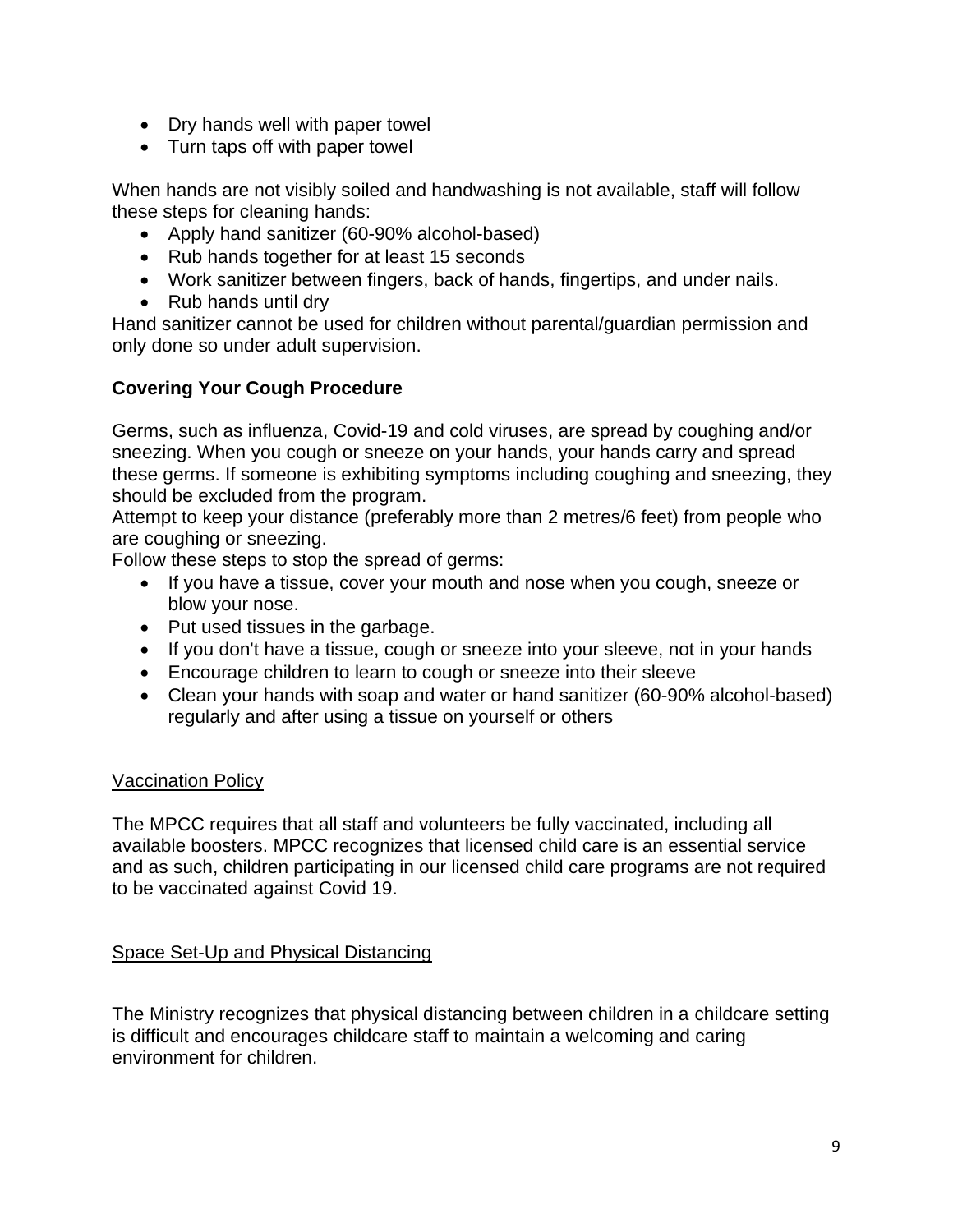- Dry hands well with paper towel
- Turn taps off with paper towel

When hands are not visibly soiled and handwashing is not available, staff will follow these steps for cleaning hands:

- Apply hand sanitizer (60-90% alcohol-based)
- Rub hands together for at least 15 seconds
- Work sanitizer between fingers, back of hands, fingertips, and under nails.
- Rub hands until dry

Hand sanitizer cannot be used for children without parental/guardian permission and only done so under adult supervision.

# **Covering Your Cough Procedure**

Germs, such as influenza, Covid-19 and cold viruses, are spread by coughing and/or sneezing. When you cough or sneeze on your hands, your hands carry and spread these germs. If someone is exhibiting symptoms including coughing and sneezing, they should be excluded from the program.

Attempt to keep your distance (preferably more than 2 metres/6 feet) from people who are coughing or sneezing.

Follow these steps to stop the spread of germs:

- If you have a tissue, cover your mouth and nose when you cough, sneeze or blow your nose.
- Put used tissues in the garbage.
- If you don't have a tissue, cough or sneeze into your sleeve, not in your hands
- Encourage children to learn to cough or sneeze into their sleeve
- Clean your hands with soap and water or hand sanitizer (60-90% alcohol-based) regularly and after using a tissue on yourself or others

# Vaccination Policy

The MPCC requires that all staff and volunteers be fully vaccinated, including all available boosters. MPCC recognizes that licensed child care is an essential service and as such, children participating in our licensed child care programs are not required to be vaccinated against Covid 19.

# Space Set-Up and Physical Distancing

The Ministry recognizes that physical distancing between children in a childcare setting is difficult and encourages childcare staff to maintain a welcoming and caring environment for children.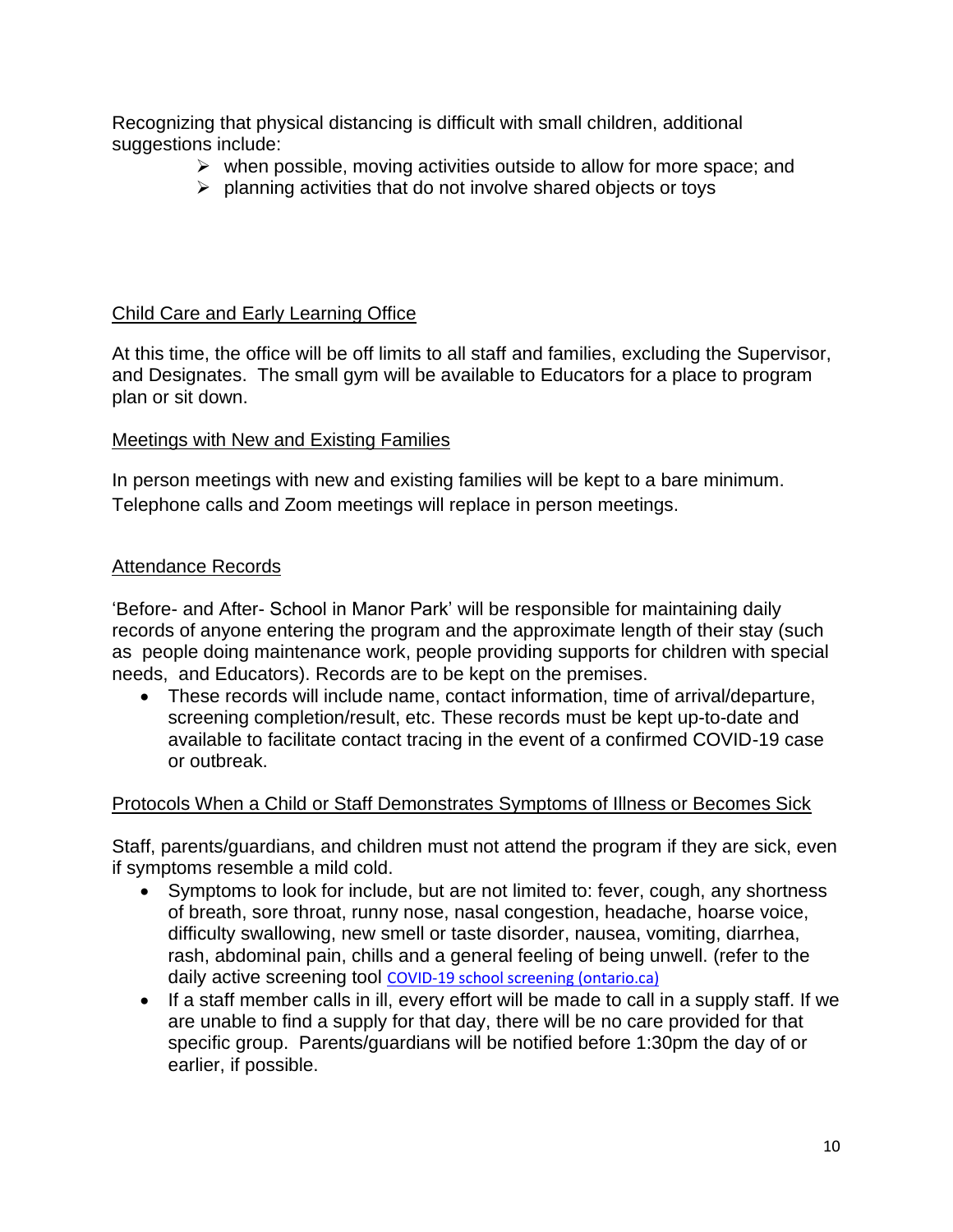Recognizing that physical distancing is difficult with small children, additional suggestions include:

- $\triangleright$  when possible, moving activities outside to allow for more space; and
- ➢ planning activities that do not involve shared objects or toys

# Child Care and Early Learning Office

At this time, the office will be off limits to all staff and families, excluding the Supervisor, and Designates. The small gym will be available to Educators for a place to program plan or sit down.

# Meetings with New and Existing Families

In person meetings with new and existing families will be kept to a bare minimum. Telephone calls and Zoom meetings will replace in person meetings.

# Attendance Records

'Before- and After- School in Manor Park' will be responsible for maintaining daily records of anyone entering the program and the approximate length of their stay (such as people doing maintenance work, people providing supports for children with special needs, and Educators). Records are to be kept on the premises.

• These records will include name, contact information, time of arrival/departure, screening completion/result, etc. These records must be kept up-to-date and available to facilitate contact tracing in the event of a confirmed COVID-19 case or outbreak.

# Protocols When a Child or Staff Demonstrates Symptoms of Illness or Becomes Sick

Staff, parents/guardians, and children must not attend the program if they are sick, even if symptoms resemble a mild cold.

- Symptoms to look for include, but are not limited to: fever, cough, any shortness of breath, sore throat, runny nose, nasal congestion, headache, hoarse voice, difficulty swallowing, new smell or taste disorder, nausea, vomiting, diarrhea, rash, abdominal pain, chills and a general feeling of being unwell. (refer to the daily active screening tool [COVID-19 school screening \(ontario.ca\)](https://covid-19.ontario.ca/school-screening/)
- If a staff member calls in ill, every effort will be made to call in a supply staff. If we are unable to find a supply for that day, there will be no care provided for that specific group. Parents/guardians will be notified before 1:30pm the day of or earlier, if possible.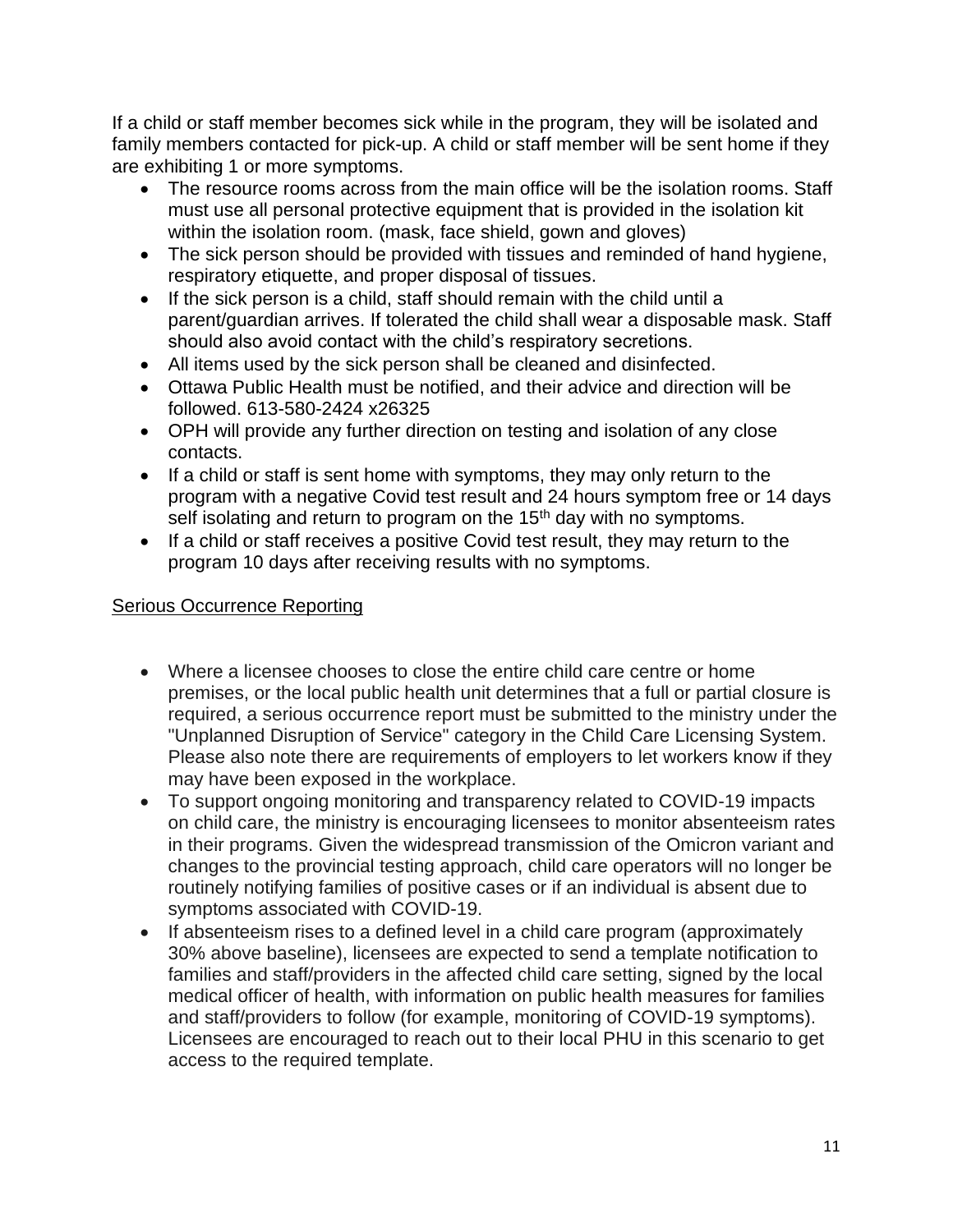If a child or staff member becomes sick while in the program, they will be isolated and family members contacted for pick-up. A child or staff member will be sent home if they are exhibiting 1 or more symptoms.

- The resource rooms across from the main office will be the isolation rooms. Staff must use all personal protective equipment that is provided in the isolation kit within the isolation room. (mask, face shield, gown and gloves)
- The sick person should be provided with tissues and reminded of hand hygiene, respiratory etiquette, and proper disposal of tissues.
- If the sick person is a child, staff should remain with the child until a parent/guardian arrives. If tolerated the child shall wear a disposable mask. Staff should also avoid contact with the child's respiratory secretions.
- All items used by the sick person shall be cleaned and disinfected.
- Ottawa Public Health must be notified, and their advice and direction will be followed. 613-580-2424 x26325
- OPH will provide any further direction on testing and isolation of any close contacts.
- If a child or staff is sent home with symptoms, they may only return to the program with a negative Covid test result and 24 hours symptom free or 14 days self isolating and return to program on the 15<sup>th</sup> day with no symptoms.
- If a child or staff receives a positive Covid test result, they may return to the program 10 days after receiving results with no symptoms.

# Serious Occurrence Reporting

- Where a licensee chooses to close the entire child care centre or home premises, or the local public health unit determines that a full or partial closure is required, a serious occurrence report must be submitted to the ministry under the "Unplanned Disruption of Service" category in the Child Care Licensing System. Please also note there are requirements of employers to let workers know if they may have been exposed in the workplace.
- To support ongoing monitoring and transparency related to COVID-19 impacts on child care, the ministry is encouraging licensees to monitor absenteeism rates in their programs. Given the widespread transmission of the Omicron variant and changes to the provincial testing approach, child care operators will no longer be routinely notifying families of positive cases or if an individual is absent due to symptoms associated with COVID-19.
- If absenteeism rises to a defined level in a child care program (approximately 30% above baseline), licensees are expected to send a template notification to families and staff/providers in the affected child care setting, signed by the local medical officer of health, with information on public health measures for families and staff/providers to follow (for example, monitoring of COVID-19 symptoms). Licensees are encouraged to reach out to their local PHU in this scenario to get access to the required template.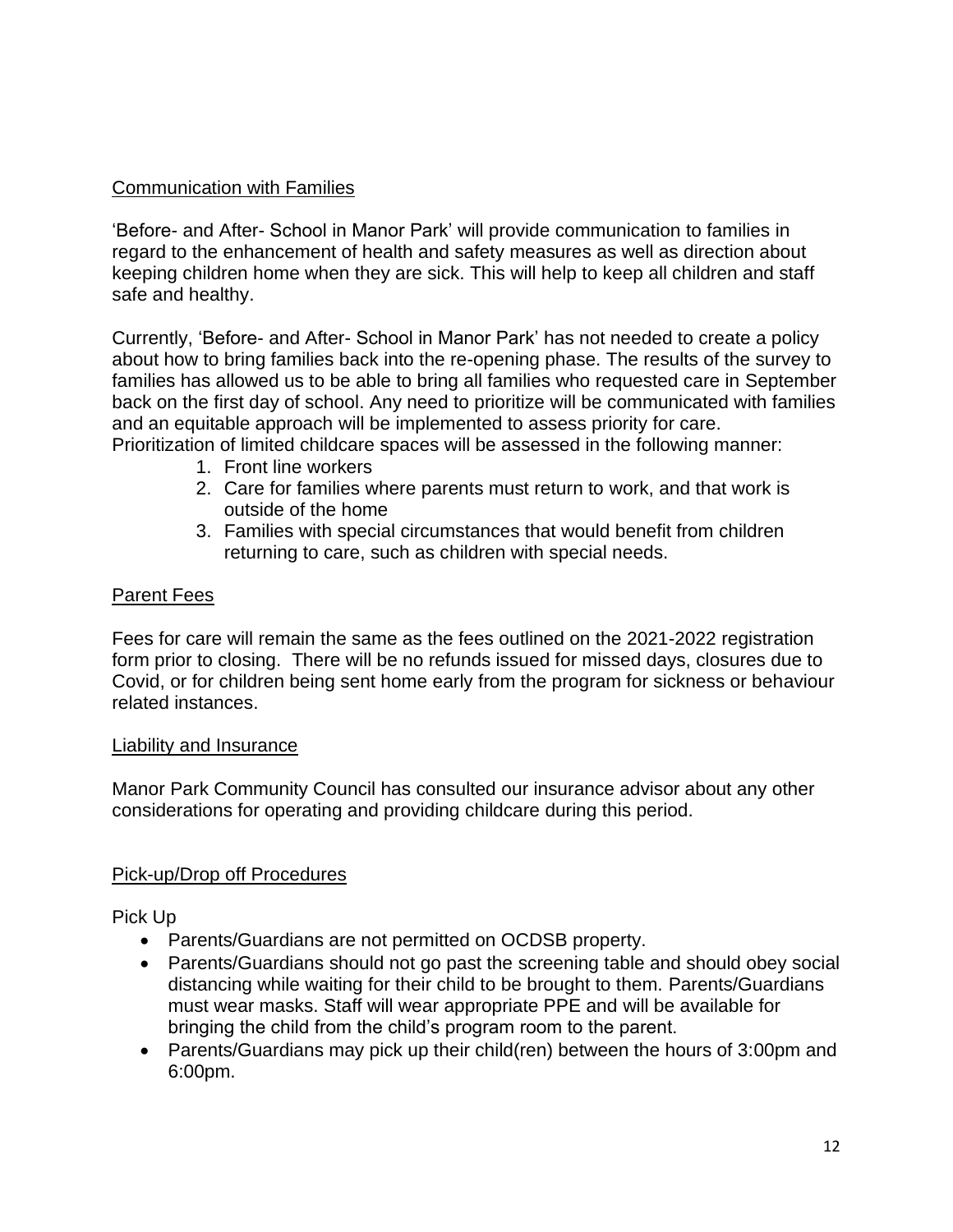# Communication with Families

'Before- and After- School in Manor Park' will provide communication to families in regard to the enhancement of health and safety measures as well as direction about keeping children home when they are sick. This will help to keep all children and staff safe and healthy.

Currently, 'Before- and After- School in Manor Park' has not needed to create a policy about how to bring families back into the re-opening phase. The results of the survey to families has allowed us to be able to bring all families who requested care in September back on the first day of school. Any need to prioritize will be communicated with families and an equitable approach will be implemented to assess priority for care. Prioritization of limited childcare spaces will be assessed in the following manner:

- 1. Front line workers
- 2. Care for families where parents must return to work, and that work is outside of the home
- 3. Families with special circumstances that would benefit from children returning to care, such as children with special needs.

#### Parent Fees

Fees for care will remain the same as the fees outlined on the 2021-2022 registration form prior to closing. There will be no refunds issued for missed days, closures due to Covid, or for children being sent home early from the program for sickness or behaviour related instances.

#### Liability and Insurance

Manor Park Community Council has consulted our insurance advisor about any other considerations for operating and providing childcare during this period.

#### Pick-up/Drop off Procedures

Pick Up

- Parents/Guardians are not permitted on OCDSB property.
- Parents/Guardians should not go past the screening table and should obey social distancing while waiting for their child to be brought to them. Parents/Guardians must wear masks. Staff will wear appropriate PPE and will be available for bringing the child from the child's program room to the parent.
- Parents/Guardians may pick up their child(ren) between the hours of 3:00pm and 6:00pm.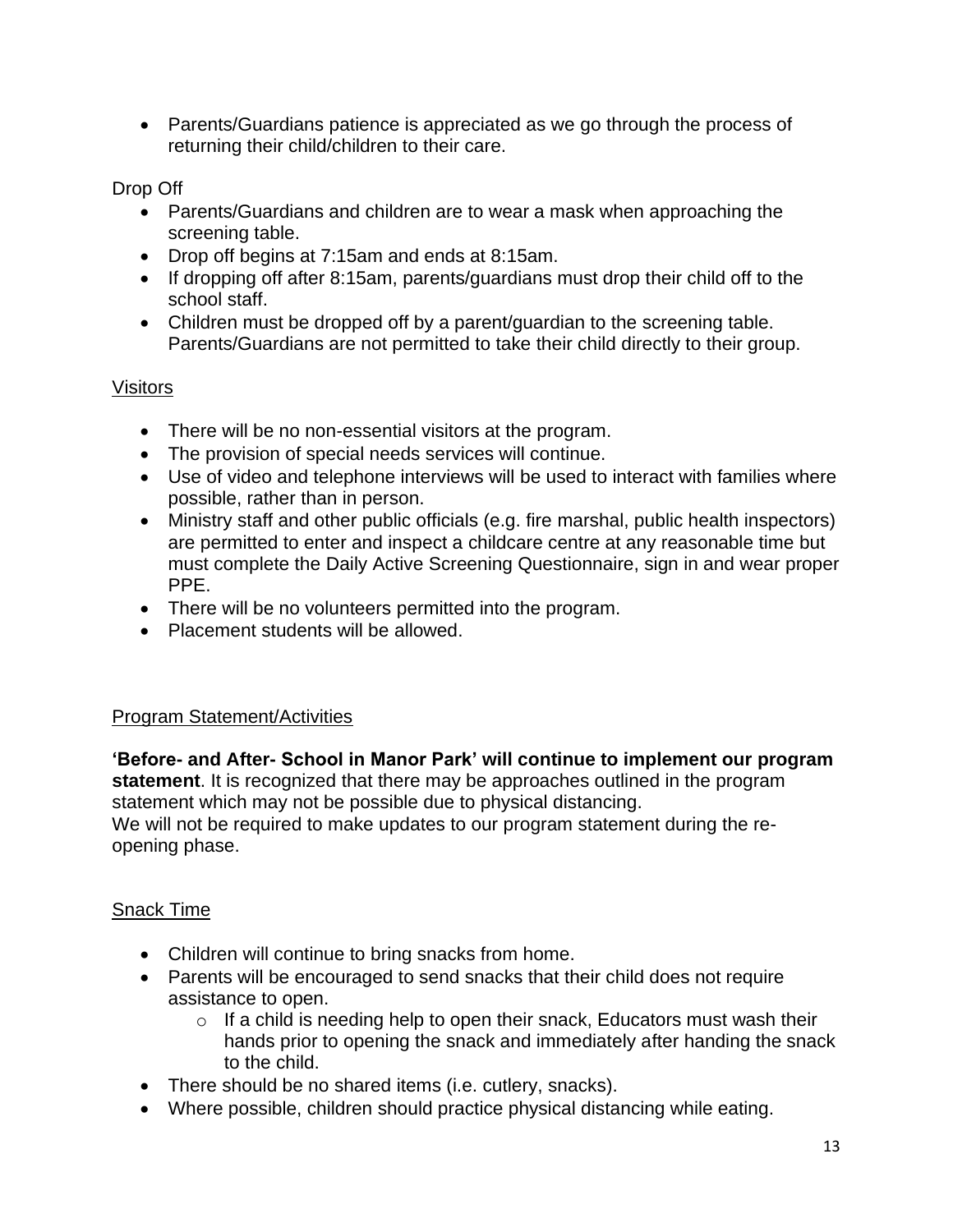• Parents/Guardians patience is appreciated as we go through the process of returning their child/children to their care.

Drop Off

- Parents/Guardians and children are to wear a mask when approaching the screening table.
- Drop off begins at 7:15am and ends at 8:15am.
- If dropping off after 8:15am, parents/guardians must drop their child off to the school staff.
- Children must be dropped off by a parent/quardian to the screening table. Parents/Guardians are not permitted to take their child directly to their group.

# **Visitors**

- There will be no non-essential visitors at the program.
- The provision of special needs services will continue.
- Use of video and telephone interviews will be used to interact with families where possible, rather than in person.
- Ministry staff and other public officials (e.g. fire marshal, public health inspectors) are permitted to enter and inspect a childcare centre at any reasonable time but must complete the Daily Active Screening Questionnaire, sign in and wear proper PPE.
- There will be no volunteers permitted into the program.
- Placement students will be allowed.

# Program Statement/Activities

**'Before- and After- School in Manor Park' will continue to implement our program statement**. It is recognized that there may be approaches outlined in the program statement which may not be possible due to physical distancing. We will not be required to make updates to our program statement during the reopening phase.

# Snack Time

- Children will continue to bring snacks from home.
- Parents will be encouraged to send snacks that their child does not require assistance to open.
	- $\circ$  If a child is needing help to open their snack, Educators must wash their hands prior to opening the snack and immediately after handing the snack to the child.
- There should be no shared items (i.e. cutlery, snacks).
- Where possible, children should practice physical distancing while eating.